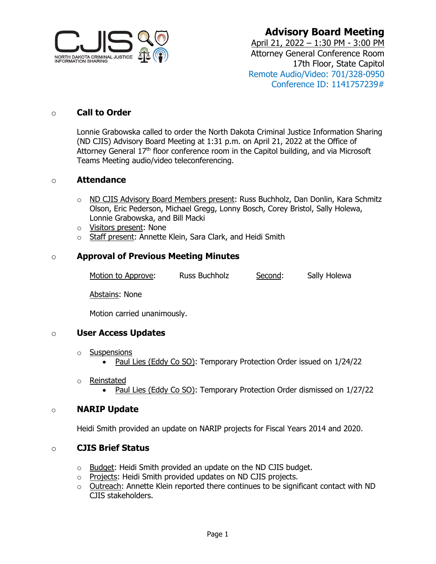

**Advisory Board Meeting**

April 21, 2022 – 1:30 PM - 3:00 PM Attorney General Conference Room 17th Floor, State Capitol Remote Audio/Video: 701/328-0950 Conference ID: 1141757239#

#### o **Call to Order**

Lonnie Grabowska called to order the North Dakota Criminal Justice Information Sharing (ND CJIS) Advisory Board Meeting at 1:31 p.m. on April 21, 2022 at the Office of Attorney General  $17<sup>th</sup>$  floor conference room in the Capitol building, and via Microsoft Teams Meeting audio/video teleconferencing.

#### o **Attendance**

- o ND CJIS Advisory Board Members present: Russ Buchholz, Dan Donlin, Kara Schmitz Olson, Eric Pederson, Michael Gregg, Lonny Bosch, Corey Bristol, Sally Holewa, Lonnie Grabowska, and Bill Macki
- o Visitors present: None
- o Staff present: Annette Klein, Sara Clark, and Heidi Smith

#### o **Approval of Previous Meeting Minutes**

Motion to Approve: Russ Buchholz Second: Sally Holewa

Abstains: None

Motion carried unanimously.

#### o **User Access Updates**

- o Suspensions
	- Paul Lies (Eddy Co SO): Temporary Protection Order issued on 1/24/22
- o Reinstated
	- Paul Lies (Eddy Co SO): Temporary Protection Order dismissed on  $1/27/22$

#### o **NARIP Update**

Heidi Smith provided an update on NARIP projects for Fiscal Years 2014 and 2020.

#### o **CJIS Brief Status**

- o Budget: Heidi Smith provided an update on the ND CJIS budget.
- o Projects: Heidi Smith provided updates on ND CJIS projects.
- $\circ$  Outreach: Annette Klein reported there continues to be significant contact with ND CJIS stakeholders.